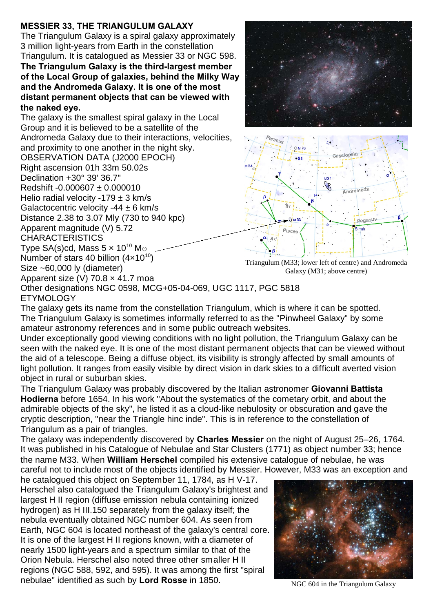## **MESSIER 33, THE TRIANGULUM GALAXY**

The Triangulum Galaxy is a spiral galaxy approximately 3 million light-years from Earth in the constellation Triangulum. It is catalogued as Messier 33 or NGC 598. **The Triangulum Galaxy is the third-largest member of the Local Group of galaxies, behind the Milky Way and the Andromeda Galaxy. It is one of the most distant permanent objects that can be viewed with the naked eye.**

The galaxy is the smallest spiral galaxy in the Local Group and it is believed to be a satellite of the Andromeda Galaxy due to their interactions, velocities, and proximity to one another in the night sky. OBSERVATION DATA (J2000 EPOCH) Right ascension 01h 33m 50.02s Declination +30° 39' 36.7" Redshift -0.000607 ± 0.000010 Helio radial velocity -179  $\pm$  3 km/s Galactocentric velocity -44  $\pm$  6 km/s Distance 2.38 to 3.07 Mly (730 to 940 kpc) Apparent magnitude (V) 5.72 CHARACTERISTICS Type SA(s)cd, Mass  $5 \times 10^{10}$  Mo Number of stars 40 billion  $(4 \times 10^{10})$ Size ~60,000 ly (diameter) Apparent size (V) 70.8 × 41.7 moa





Triangulum (M33; lower left of centre) and Andromeda Galaxy (M31; above centre)

Other designations NGC 0598, MCG+05-04-069, UGC 1117, PGC 5818 **ETYMOLOGY** 

The galaxy gets its name from the constellation Triangulum, which is where it can be spotted. The Triangulum Galaxy is sometimes informally referred to as the "Pinwheel Galaxy" by some amateur astronomy references and in some public outreach websites.

Under exceptionally good viewing conditions with no light pollution, the Triangulum Galaxy can be seen with the naked eye. It is one of the most distant permanent objects that can be viewed without the aid of a telescope. Being a diffuse object, its visibility is strongly affected by small amounts of light pollution. It ranges from easily visible by direct vision in dark skies to a difficult averted vision object in rural or suburban skies.

The Triangulum Galaxy was probably discovered by the Italian astronomer **Giovanni Battista Hodierna** before 1654. In his work "About the systematics of the cometary orbit, and about the admirable objects of the sky", he listed it as a cloud-like nebulosity or obscuration and gave the cryptic description, "near the Triangle hinc inde". This is in reference to the constellation of Triangulum as a pair of triangles.

The galaxy was independently discovered by **Charles Messier** on the night of August 25–26, 1764. It was published in his Catalogue of Nebulae and Star Clusters (1771) as object number 33; hence the name M33. When **William Herschel** compiled his extensive catalogue of nebulae, he was careful not to include most of the objects identified by Messier. However, M33 was an exception and

he catalogued this object on September 11, 1784, as H V-17. Herschel also catalogued the Triangulum Galaxy's brightest and largest H II region (diffuse emission nebula containing ionized hydrogen) as H III.150 separately from the galaxy itself; the nebula eventually obtained NGC number 604. As seen from Earth, NGC 604 is located northeast of the galaxy's central core. It is one of the largest H II regions known, with a diameter of nearly 1500 light-years and a spectrum similar to that of the Orion Nebula. Herschel also noted three other smaller H II regions (NGC 588, 592, and 595). It was among the first "spiral nebulae" identified as such by **Lord Rosse** in 1850.



NGC 604 in the Triangulum Galaxy